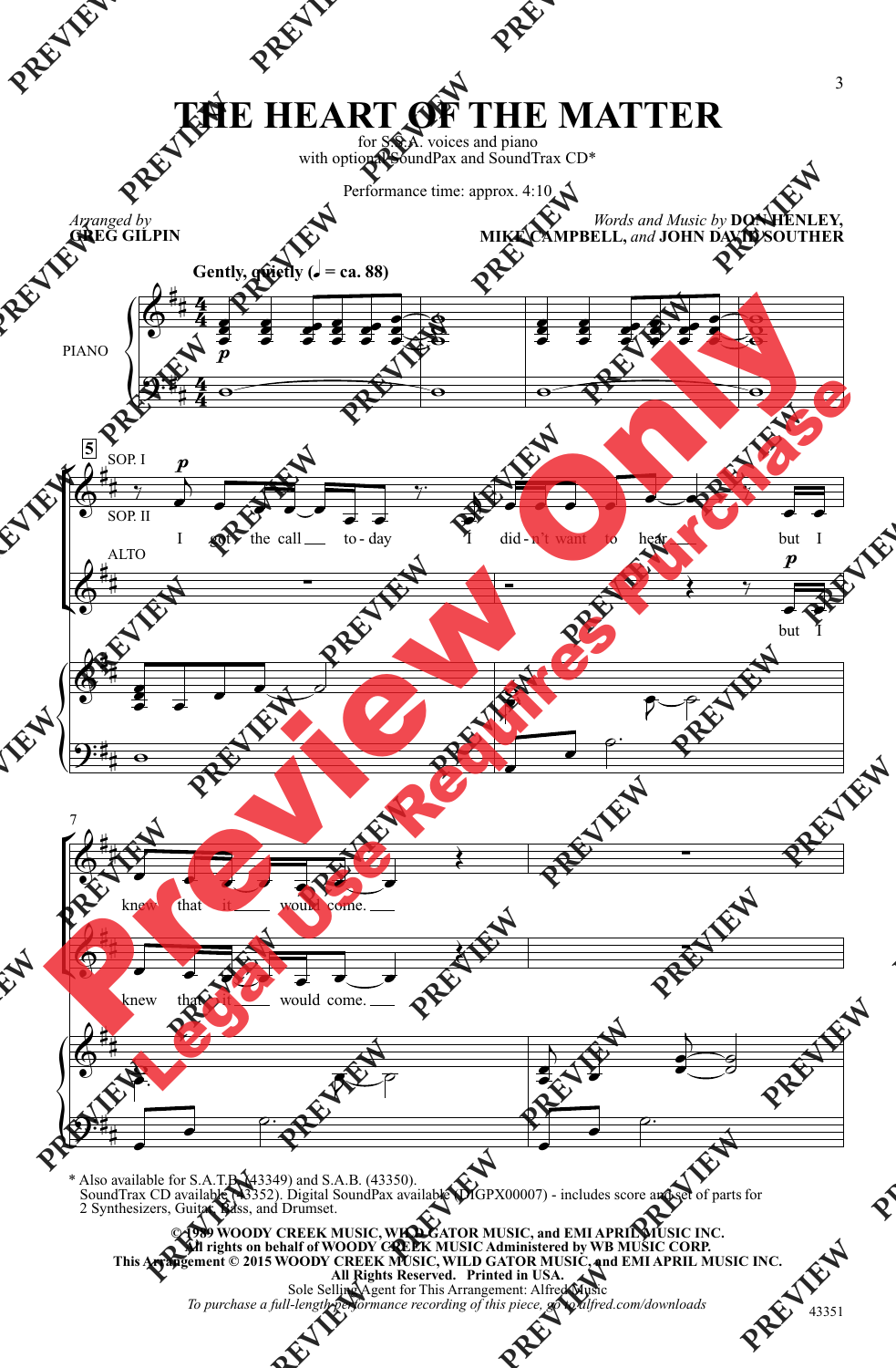## **THE HEART OF THE MATTER**

for S.S.A. voices and piano with optional SoundPax and SoundTrax CD\*

Performance time: approx. 4:10

*Arranged by*  **GREG GILPIN**

*Words and Music by* **DON HENLEY, MIKE CAMPBELL,** *and* **JOHN DAVID SOUTHER**



\* Also available for S.A.T.B. (43349) and S.A.B. (43350). SoundTrax CD available (43352). Digital SoundPax available (DIGPX00007) - includes score and set of partsfor 2 Synthesizers, Guitar, Bass, and Drumset.

© 1989 WOODY CREEK MUSIC, WILD GATOR MUSIC, and EMI APRIL MUSIC INC.<br>All rights on behalf of WOODY CREEK MUSIC Administered by WB MUSIC CORP.<br>This Arrangement © 2015 WOODY CREEK MUSIC, WILD GATOR MUSIC, and EMI APRIL MUSIC **All Rights Reserved. Printed in USA.** Sole Selling Agent for This Arrangement: Alfred Music

*To purchase a full-length performance recording of this piece, go to alfred.com/downloads*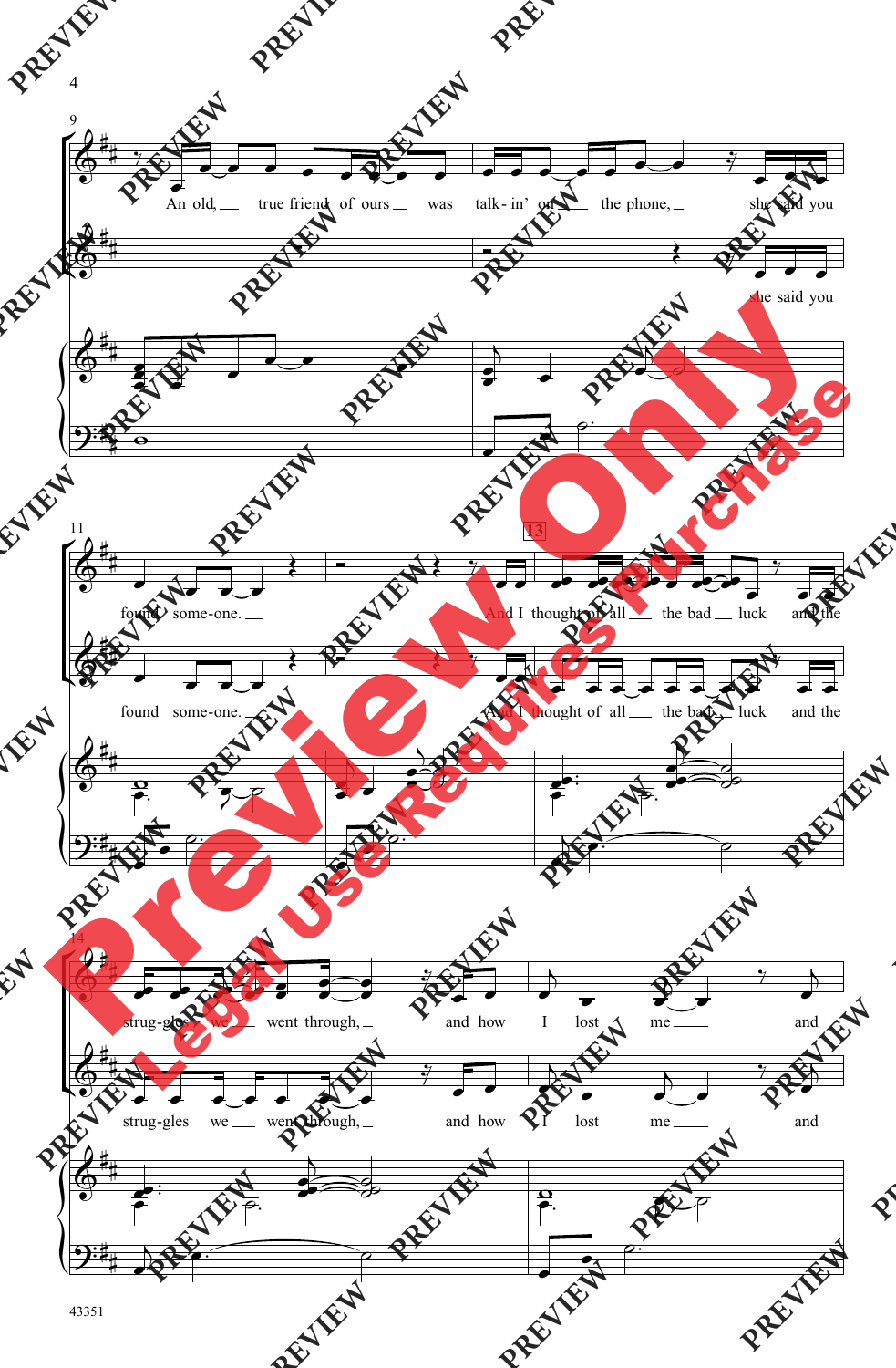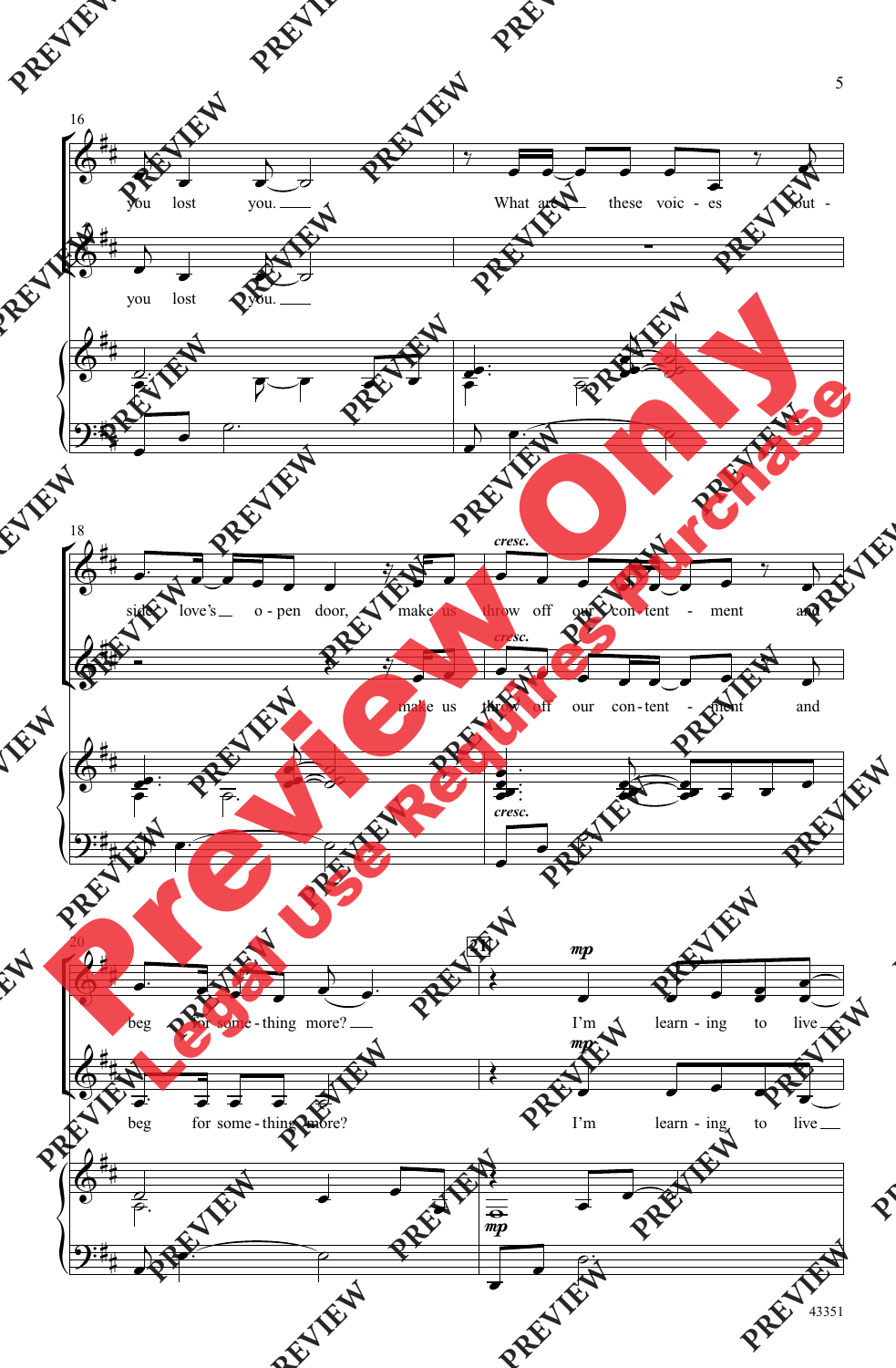

5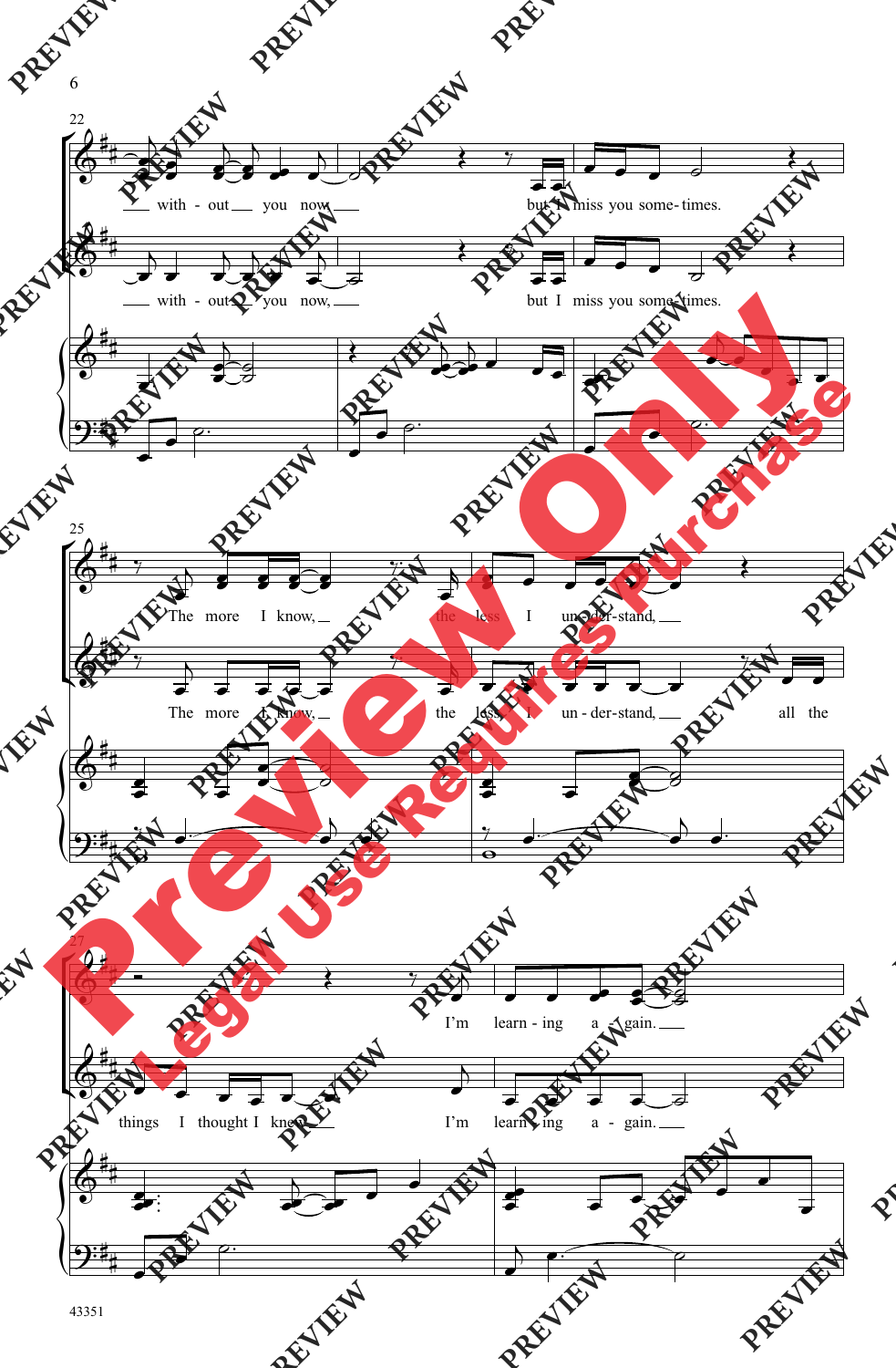

6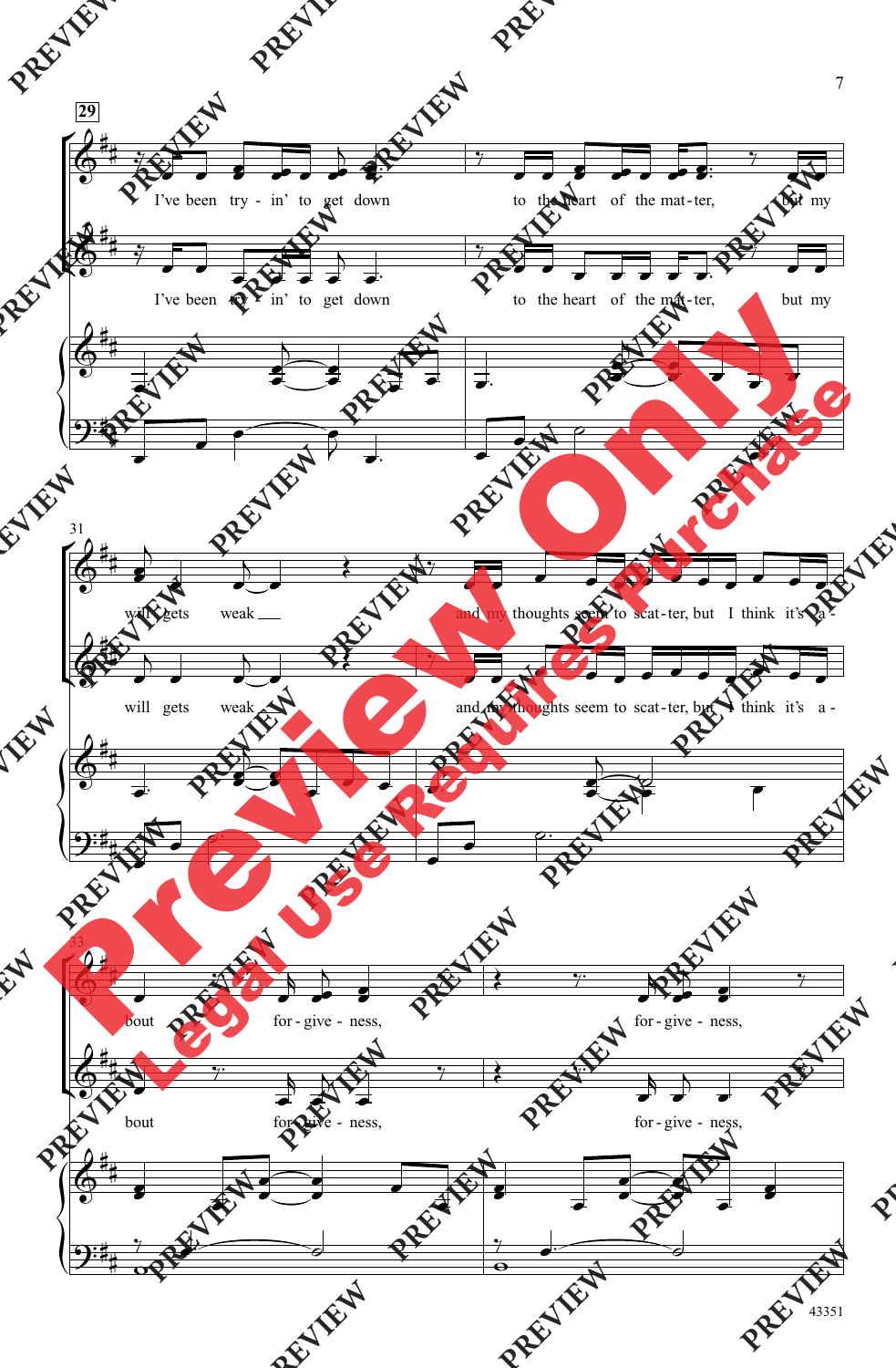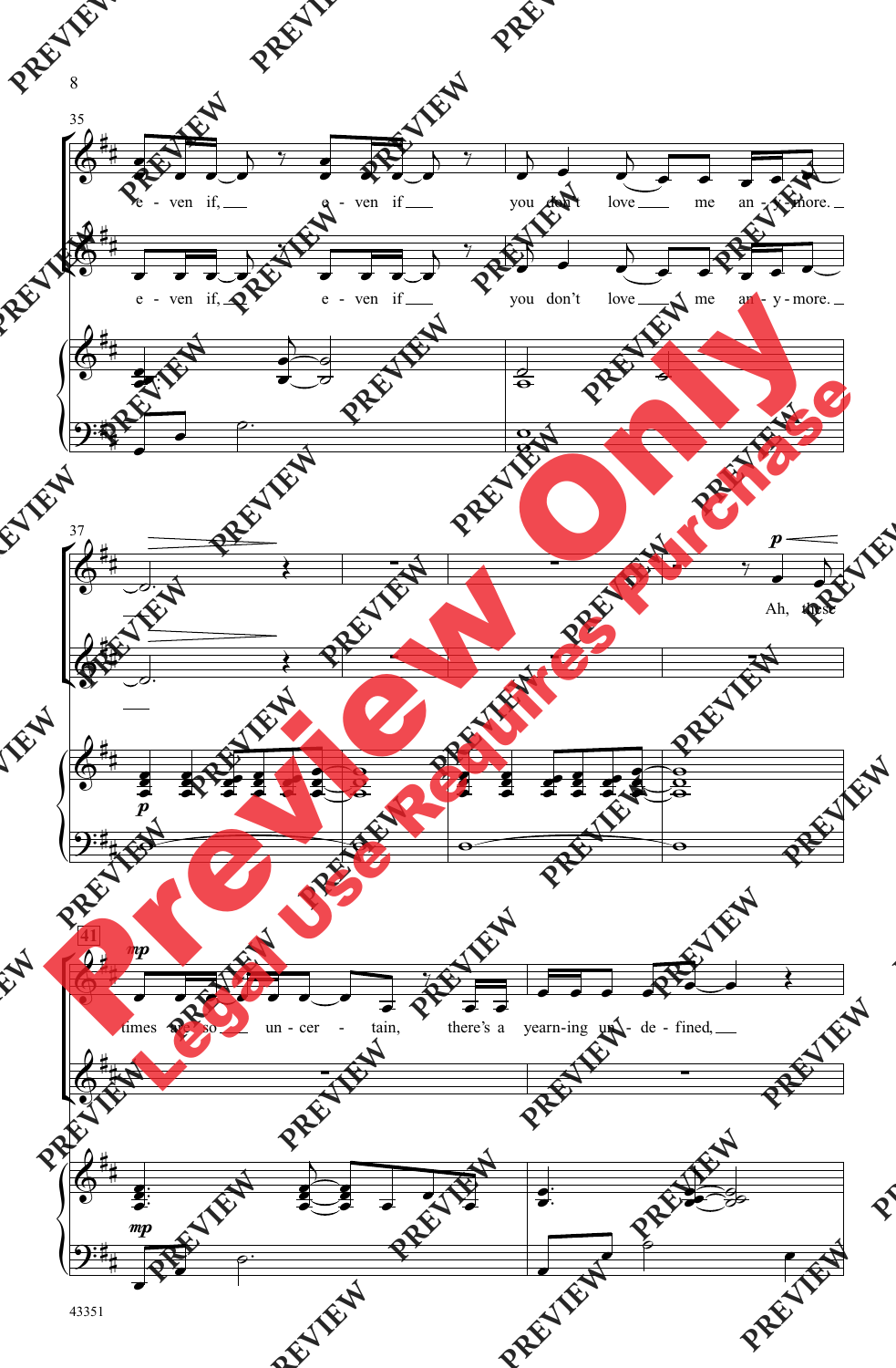

8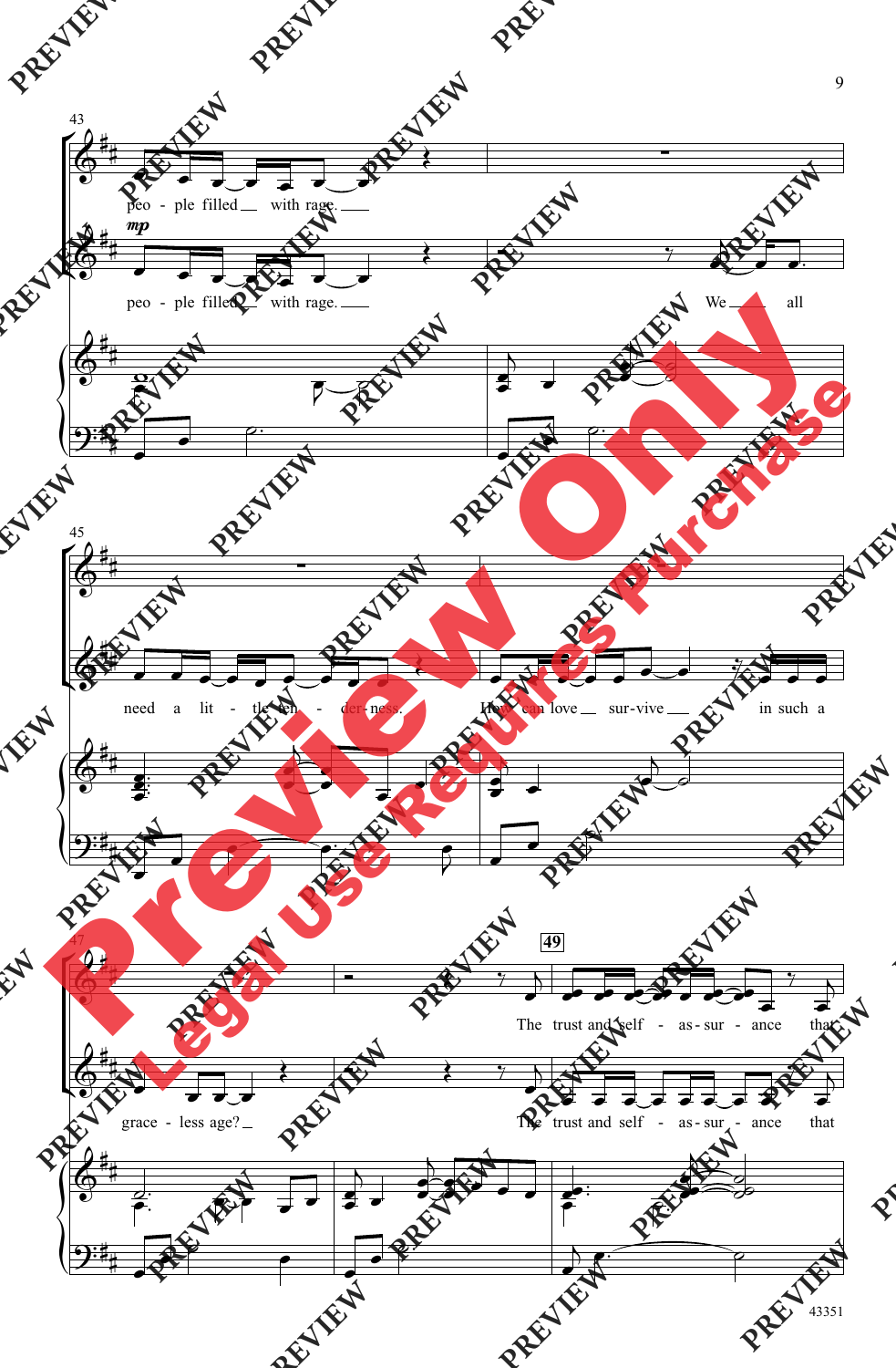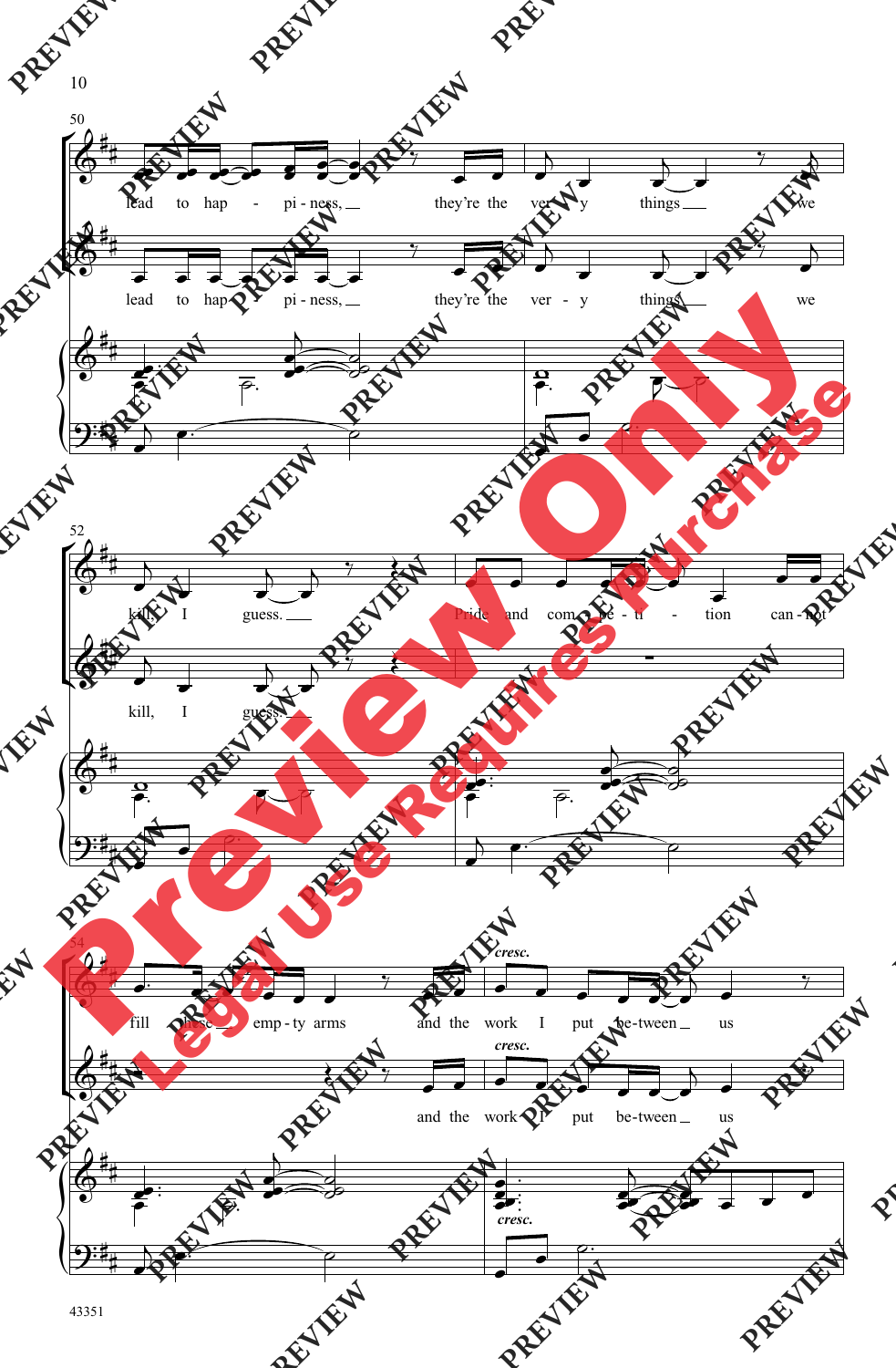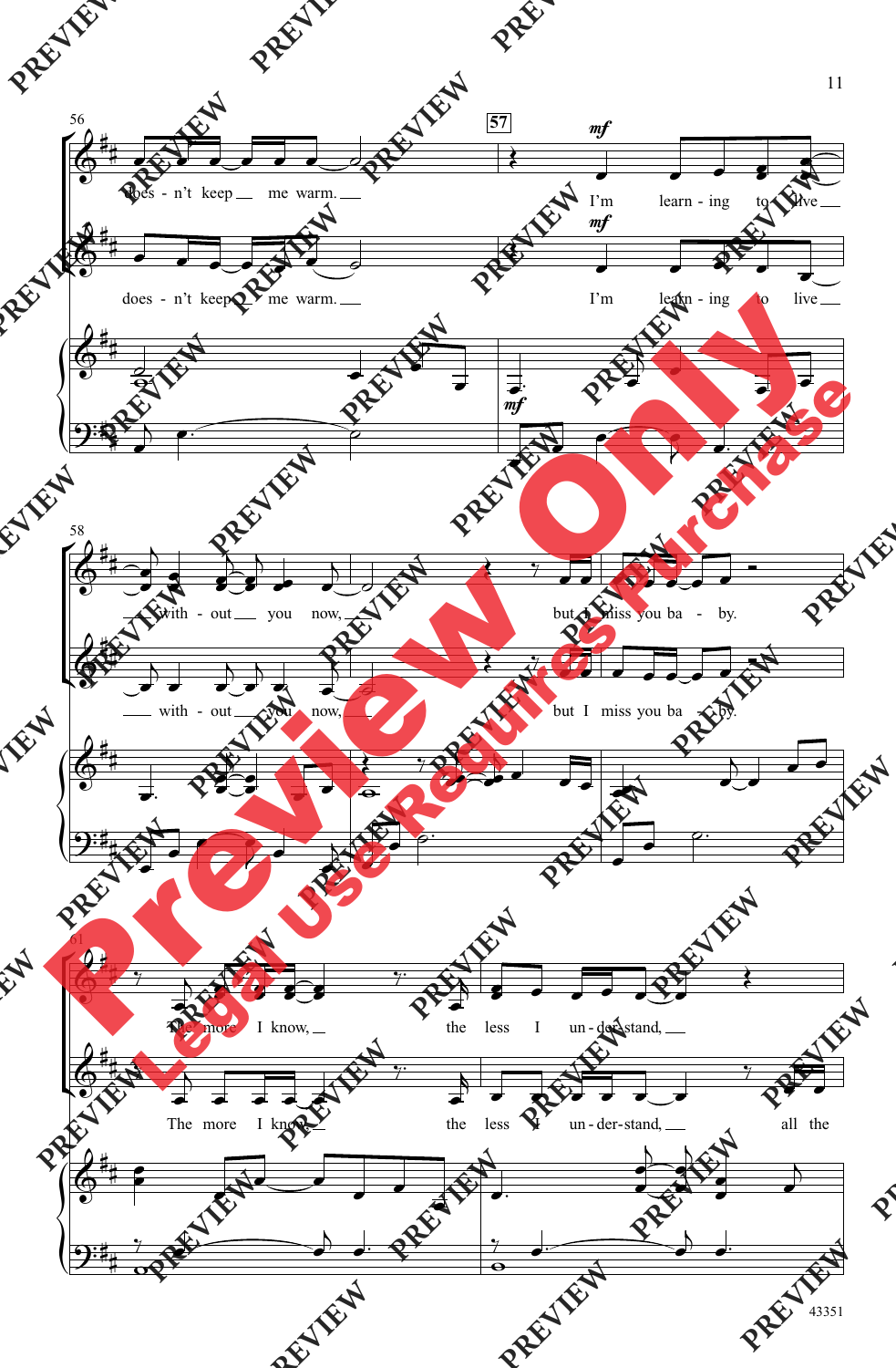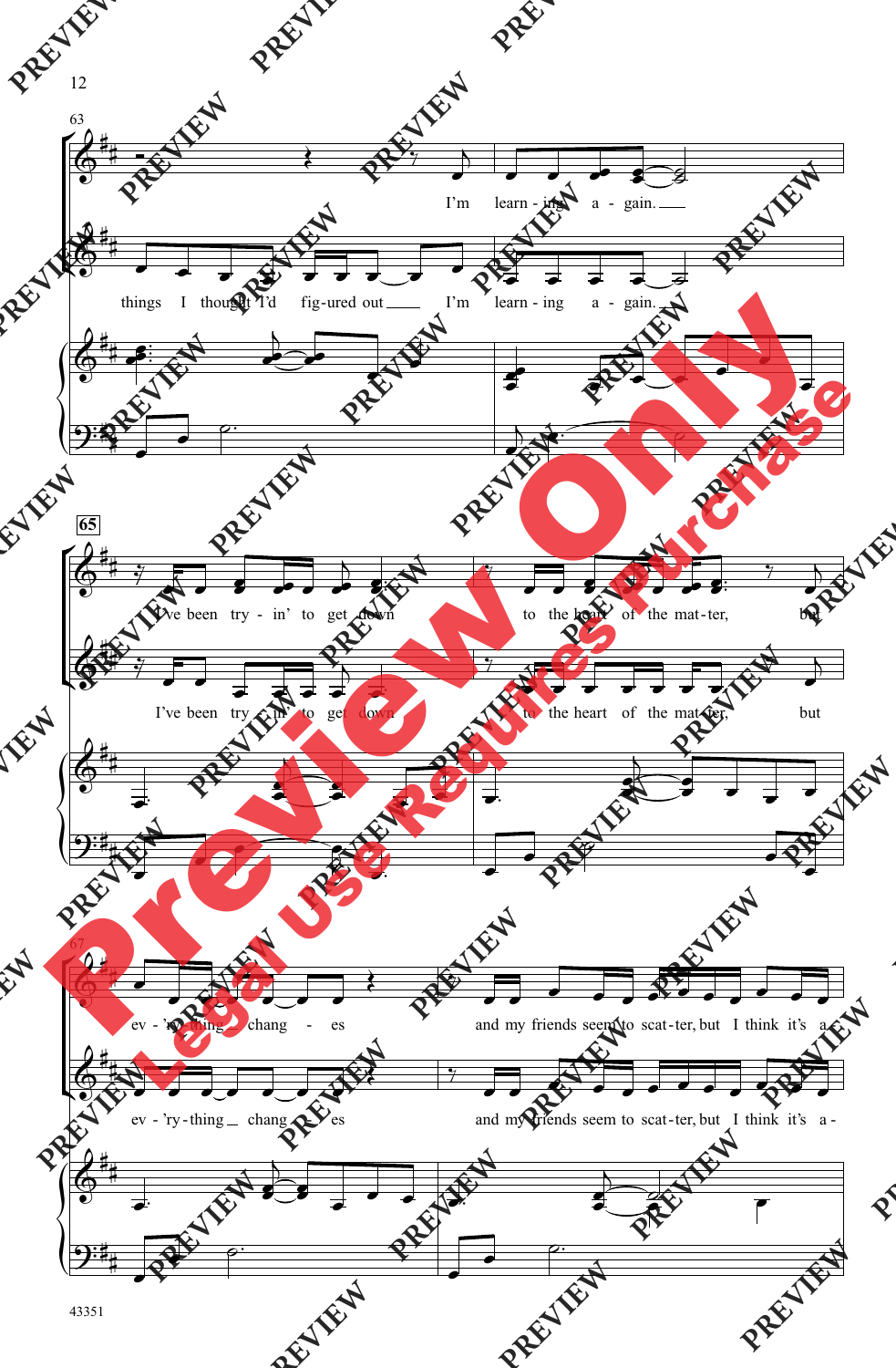![](_page_9_Figure_0.jpeg)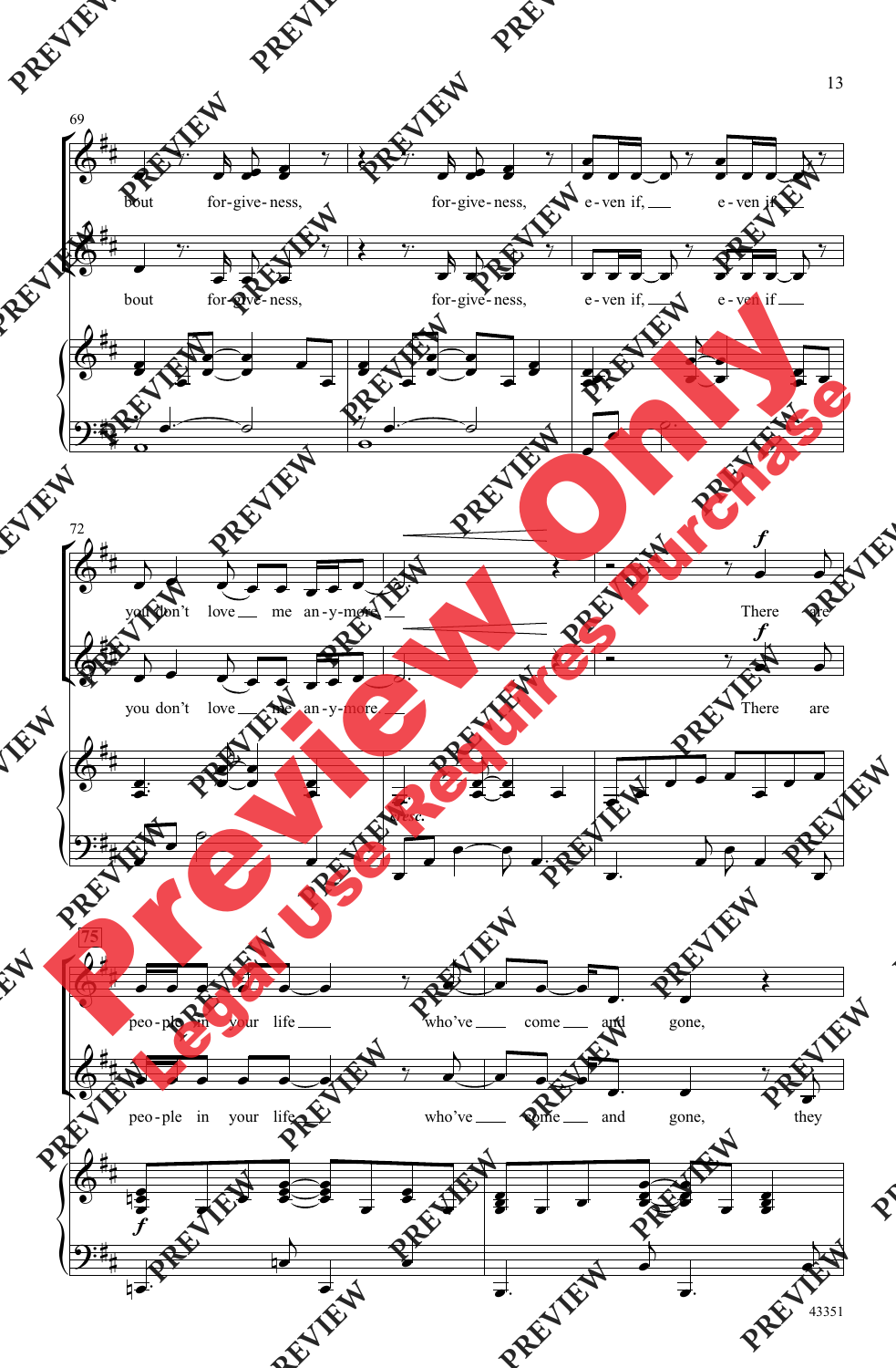![](_page_10_Figure_0.jpeg)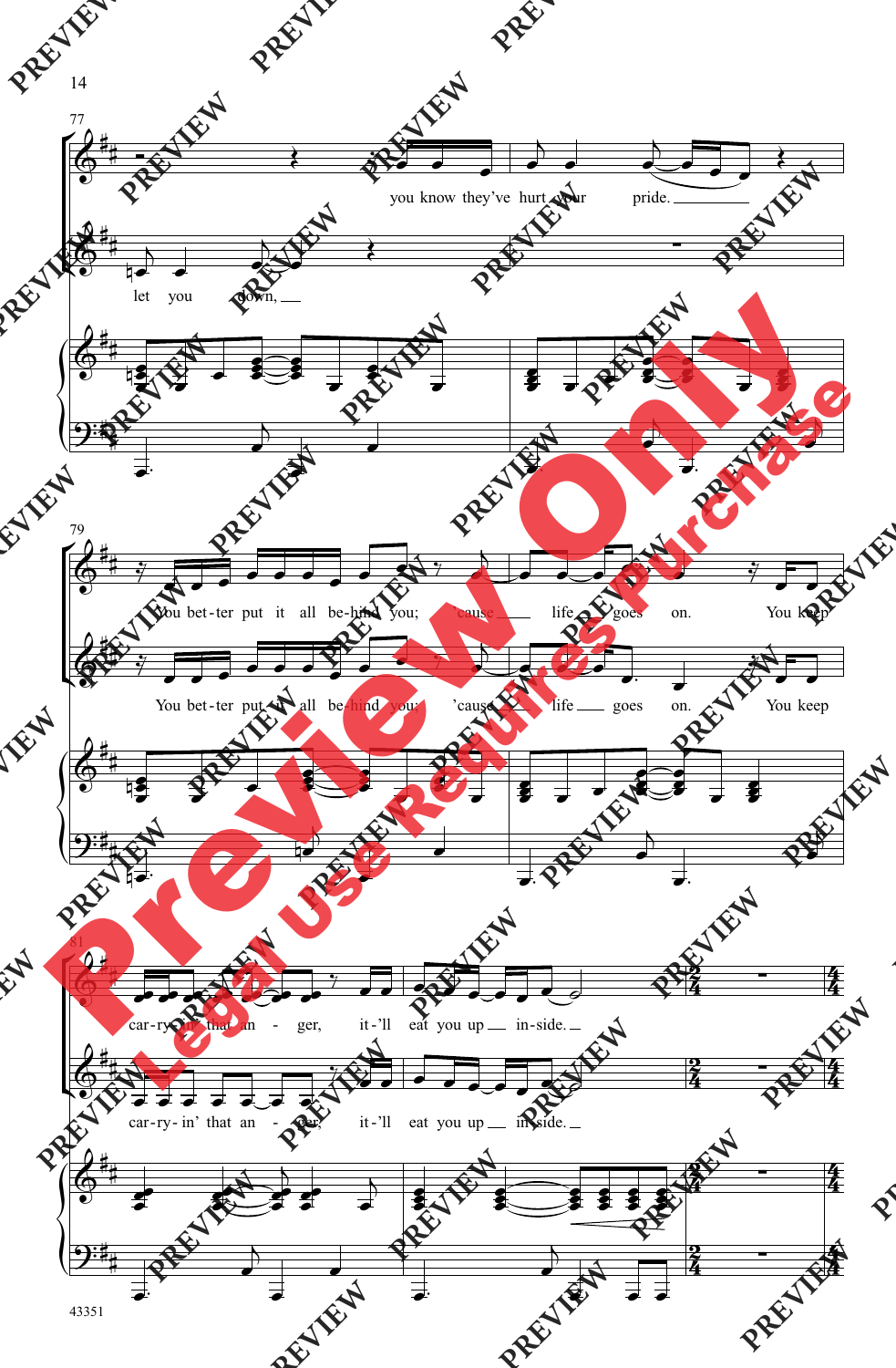![](_page_11_Figure_0.jpeg)